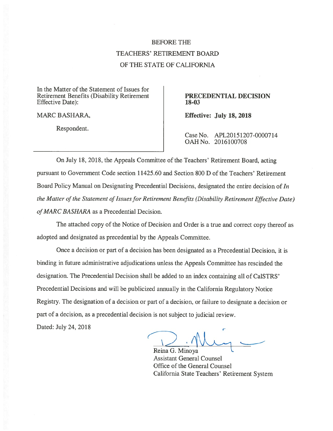## BEFORE THE TEACHERS' RETIREMENT BOARD OF THE STATE OF CALIFORNIA

In the Matter of the Statement of Issues for Retirement Benefits (Disability Retirement PRECEDENTIAL DECISION Effective Date): 18-03

Respondent.

MARC BASHARA, The Contract of the Effective: July 18, 2018

Case No. APL20151207-0000714 OAHNo. 2016100708

On July 1\$, 2018, the Appeals Committee of the Teachers' Retirement Board, acting pursuan<sup>t</sup> to Government Code section 11425.60 and Section 800 D of the Teachers' Retirement Board Policy Manual on Designating Precedential Decisions, designated the entire decision of  $In$ the Matter of the Statement of Issues for Retirement Benefits (Disability Retirement Effective Date) of MARC BASHARA as a Precedential Decision.

The attached copy of the Notice of Decision and Order is <sup>a</sup> true and correct copy thereof as adopted and designated as precedential by the Appeals Committee.

Once <sup>a</sup> decision or par<sup>t</sup> of <sup>a</sup> decision has been designated as <sup>a</sup> Precedential Decision, it is binding in future administrative adjudications unless the Appeals Committee has rescinded the designation. The Precedential Decision shall be added to an index containing all of Ca1STRS' Precedential Decisions and will be publicized annually in the California Regulatory Notice Registry. The designation of <sup>a</sup> decision or par<sup>t</sup> of <sup>a</sup> decision, or failure to designate <sup>a</sup> decision or par<sup>t</sup> of <sup>a</sup> decision, as <sup>a</sup> precedential decision is not subject to judicial review.

Dated: July 24, 2012

Reina G. Minoya Assistant General Counsel Office of the General Counsel California State Teachers' Retirement System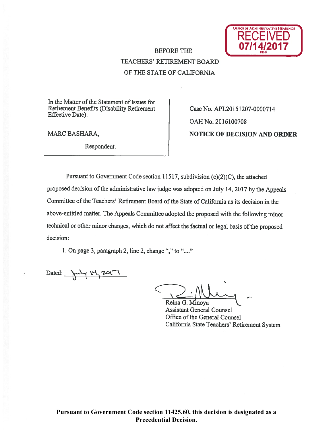

# TEACHERS' RETIREMENT BOARD Of THE STATE Of CALIFORNIA

In the Matter of the Statement of Issues for Retirement Benefits (Disability Retirement | Case No. APL20151207-0000714 Effective Date):

Respondent.

OAHNo. 201610070\$ MARC BASHARA, NOTICE OF DECISION AND ORDER

Pursuant to Government Code section 11517, subdivision (c)(2)(C), the attached proposed decision of the administrative law judge was adopted on July 14, 2017 by the Appeals Committee of the Teachers' Retirement Board of the State of California as its decision in the above-entitled matter. The Appeals Committee adopted the propose<sup>d</sup> with the following minor technical or other minor changes, which do not affect the factual or legal basis of the proposed decision:

1. On page 3, paragraph 2, line 2, change "," to "...."

Dated:  $\mu$   $\mu$   $\mu$   $\alpha$ 

Reina G. Minoya

Assistant General Counsel Office of the General Counsel California State Teachers' Retirement System